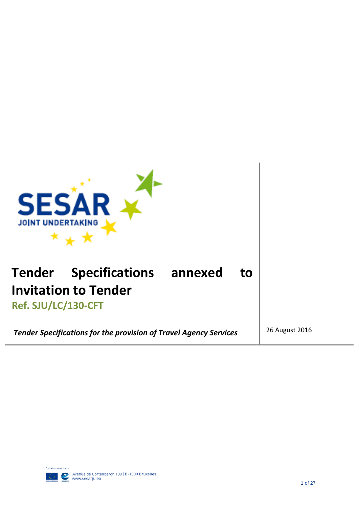

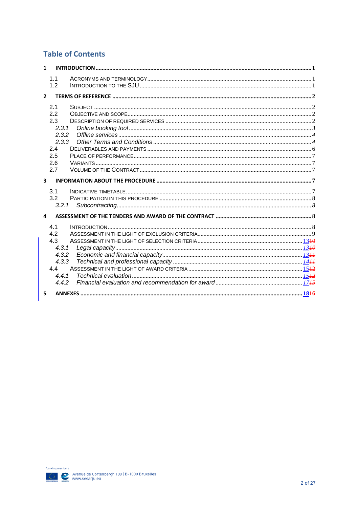## **Table of Contents**

| $\mathbf{1}$            |                                                                          |  |
|-------------------------|--------------------------------------------------------------------------|--|
|                         | 1.1<br>1.2                                                               |  |
| $\mathcal{P}$           |                                                                          |  |
|                         | 2.1<br>2.2<br>2.3<br>2.3.1<br>2.3.2<br>2.3.3<br>2.4<br>2.5<br>2.6<br>2.7 |  |
| $\overline{\mathbf{3}}$ |                                                                          |  |
|                         | 3.1<br>3.2<br>3.2.1                                                      |  |
| 4                       |                                                                          |  |
|                         | 4.1<br>4.2<br>4.3<br>4.3.1<br>4.3.2<br>4.3.3<br>4.4<br>4.4.1<br>4.4.2    |  |
| 5                       |                                                                          |  |

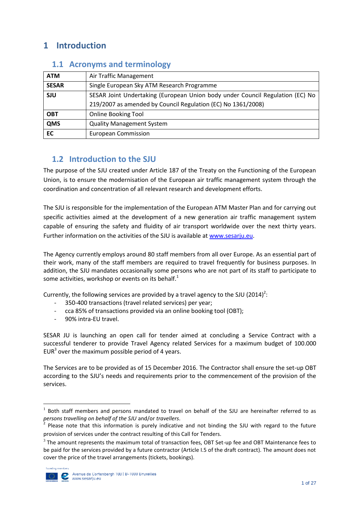# <span id="page-2-0"></span>**1 Introduction**

| <b>ATM</b>   | Air Traffic Management                                                        |
|--------------|-------------------------------------------------------------------------------|
| <b>SESAR</b> | Single European Sky ATM Research Programme                                    |
| <b>SJU</b>   | SESAR Joint Undertaking (European Union body under Council Regulation (EC) No |
|              | 219/2007 as amended by Council Regulation (EC) No 1361/2008)                  |
| <b>OBT</b>   | <b>Online Booking Tool</b>                                                    |
| QMS          | <b>Quality Management System</b>                                              |
| <b>EC</b>    | <b>European Commission</b>                                                    |

### <span id="page-2-1"></span>**1.1 Acronyms and terminology**

### <span id="page-2-2"></span>**1.2 Introduction to the SJU**

The purpose of the SJU created under Article 187 of the Treaty on the Functioning of the European Union, is to ensure the modernisation of the European air traffic management system through the coordination and concentration of all relevant research and development efforts.

The SJU is responsible for the implementation of the European ATM Master Plan and for carrying out specific activities aimed at the development of a new generation air traffic management system capable of ensuring the safety and fluidity of air transport worldwide over the next thirty years. Further information on the activities of the SJU is available at [www.sesarju.eu.](http://www.sesarju.eu/)

The Agency currently employs around 80 staff members from all over Europe. As an essential part of their work, many of the staff members are required to travel frequently for business purposes. In addition, the SJU mandates occasionally some persons who are not part of its staff to participate to some activities, workshop or events on its behalf. $<sup>1</sup>$ </sup>

Currently, the following services are provided by a travel agency to the SJU (2014)<sup>2</sup>:

- 350-400 transactions (travel related services) per year;
- cca 85% of transactions provided via an online booking tool (OBT);
- 90% intra-EU travel.

SESAR JU is launching an open call for tender aimed at concluding a Service Contract with a successful tenderer to provide Travel Agency related Services for a maximum budget of 100.000 EUR<sup>3</sup> over the maximum possible period of 4 years.

The Services are to be provided as of 15 December 2016. The Contractor shall ensure the set-up OBT according to the SJU's needs and requirements prior to the commencement of the provision of the services.

 $3$  The amount represents the maximum total of transaction fees, OBT Set-up fee and OBT Maintenance fees to be paid for the services provided by a future contractor (Article I.5 of the draft contract). The amount does not cover the price of the travel arrangements (tickets, bookings).



**.** 

<sup>&</sup>lt;sup>1</sup> Both staff members and persons mandated to travel on behalf of the SJU are hereinafter referred to as *persons travelling on behalf of the SJU* and/or *travellers*.

<sup>&</sup>lt;sup>2</sup> Please note that this information is purely indicative and not binding the SJU with regard to the future provision of services under the contract resulting of this Call for Tenders.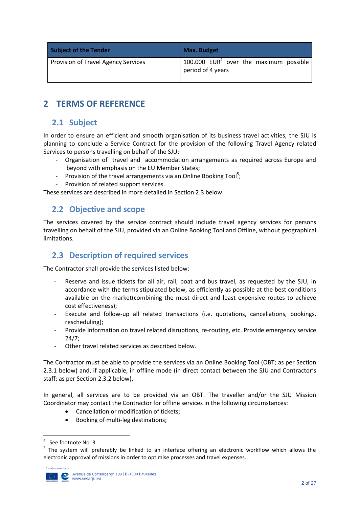| <b>Subject of the Tender</b>               | <b>Max. Budget</b>                                            |
|--------------------------------------------|---------------------------------------------------------------|
| <b>Provision of Travel Agency Services</b> | 100.000 $EUR4$ over the maximum possible<br>period of 4 years |

# <span id="page-3-0"></span>**2 TERMS OF REFERENCE**

### <span id="page-3-1"></span>**2.1 Subject**

In order to ensure an efficient and smooth organisation of its business travel activities, the SJU is planning to conclude a Service Contract for the provision of the following Travel Agency related Services to persons travelling on behalf of the SJU:

- Organisation of travel and accommodation arrangements as required across Europe and beyond with emphasis on the EU Member States;
- Provision of the travel arrangements via an Online Booking Tool<sup>5</sup>;
- Provision of related support services.

<span id="page-3-2"></span>These services are described in more detailed in Section 2.3 below.

### **2.2 Objective and scope**

The services covered by the service contract should include travel agency services for persons travelling on behalf of the SJU, provided via an Online Booking Tool and Offline, without geographical limitations.

### <span id="page-3-3"></span>**2.3 Description of required services**

The Contractor shall provide the services listed below:

- Reserve and issue tickets for all air, rail, boat and bus travel, as requested by the SJU, in accordance with the terms stipulated below, as efficiently as possible at the best conditions available on the market(combining the most direct and least expensive routes to achieve cost effectiveness);
- Execute and follow-up all related transactions (i.e. quotations, cancellations, bookings, rescheduling);
- Provide information on travel related disruptions, re-routing, etc. Provide emergency service 24/7;
- Other travel related services as described below.

The Contractor must be able to provide the services via an Online Booking Tool (OBT; as per Section 2.3.1 below) and, if applicable, in offline mode (in direct contact between the SJU and Contractor's staff; as per Section 2.3.2 below).

In general, all services are to be provided via an OBT. The traveller and/or the SJU Mission Coordinator may contact the Contractor for offline services in the following circumstances:

- Cancellation or modification of tickets;
- Booking of multi-leg destinations;

 $5$  The system will preferably be linked to an interface offering an electronic workflow which allows the electronic approval of missions in order to optimise processes and travel expenses.



**.** 

<sup>4</sup> See footnote No. 3.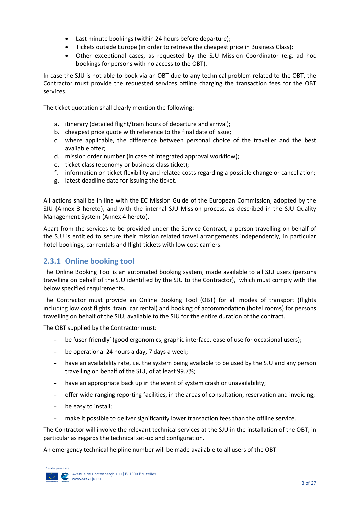- Last minute bookings (within 24 hours before departure);
- Tickets outside Europe (in order to retrieve the cheapest price in Business Class);
- Other exceptional cases, as requested by the SJU Mission Coordinator (e.g. ad hoc bookings for persons with no access to the OBT).

In case the SJU is not able to book via an OBT due to any technical problem related to the OBT, the Contractor must provide the requested services offline charging the transaction fees for the OBT services.

The ticket quotation shall clearly mention the following:

- a. itinerary (detailed flight/train hours of departure and arrival);
- b. cheapest price quote with reference to the final date of issue;
- c. where applicable, the difference between personal choice of the traveller and the best available offer;
- d. mission order number (in case of integrated approval workflow);
- e. ticket class (economy or business class ticket);
- f. information on ticket flexibility and related costs regarding a possible change or cancellation;
- g. latest deadline date for issuing the ticket.

All actions shall be in line with the EC Mission Guide of the European Commission, adopted by the SJU (Annex 3 hereto), and with the internal SJU Mission process, as described in the SJU Quality Management System (Annex 4 hereto).

Apart from the services to be provided under the Service Contract, a person travelling on behalf of the SJU is entitled to secure their mission related travel arrangements independently, in particular hotel bookings, car rentals and flight tickets with low cost carriers.

### <span id="page-4-0"></span>**2.3.1 Online booking tool**

The Online Booking Tool is an automated booking system, made available to all SJU users (persons travelling on behalf of the SJU identified by the SJU to the Contractor), which must comply with the below specified requirements.

The Contractor must provide an Online Booking Tool (OBT) for all modes of transport (flights including low cost flights, train, car rental) and booking of accommodation (hotel rooms) for persons travelling on behalf of the SJU, available to the SJU for the entire duration of the contract.

The OBT supplied by the Contractor must:

- be 'user-friendly' (good ergonomics, graphic interface, ease of use for occasional users);
- be operational 24 hours a day, 7 days a week;
- have an availability rate, i.e. the system being available to be used by the SJU and any person travelling on behalf of the SJU, of at least 99.7%;
- have an appropriate back up in the event of system crash or unavailability;
- offer wide-ranging reporting facilities, in the areas of consultation, reservation and invoicing;
- be easy to install;
- make it possible to deliver significantly lower transaction fees than the offline service.

The Contractor will involve the relevant technical services at the SJU in the installation of the OBT, in particular as regards the technical set-up and configuration.

An emergency technical helpline number will be made available to all users of the OBT.

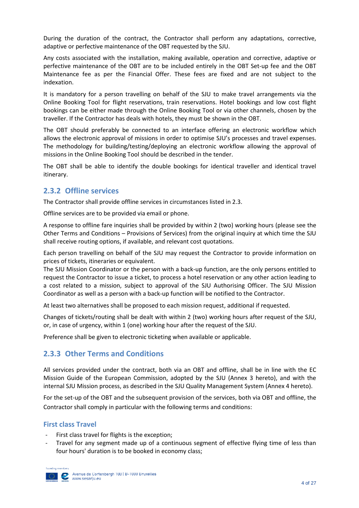During the duration of the contract, the Contractor shall perform any adaptations, corrective, adaptive or perfective maintenance of the OBT requested by the SJU.

Any costs associated with the installation, making available, operation and corrective, adaptive or perfective maintenance of the OBT are to be included entirely in the OBT Set-up fee and the OBT Maintenance fee as per the Financial Offer. These fees are fixed and are not subject to the indexation.

It is mandatory for a person travelling on behalf of the SJU to make travel arrangements via the Online Booking Tool for flight reservations, train reservations. Hotel bookings and low cost flight bookings can be either made through the Online Booking Tool or via other channels, chosen by the traveller. If the Contractor has deals with hotels, they must be shown in the OBT.

The OBT should preferably be connected to an interface offering an electronic workflow which allows the electronic approval of missions in order to optimise SJU's processes and travel expenses. The methodology for building/testing/deploying an electronic workflow allowing the approval of missions in the Online Booking Tool should be described in the tender.

The OBT shall be able to identify the double bookings for identical traveller and identical travel itinerary.

### <span id="page-5-0"></span>**2.3.2 Offline services**

The Contractor shall provide offline services in circumstances listed in 2.3.

Offline services are to be provided via email or phone.

A response to offline fare inquiries shall be provided by within 2 (two) working hours (please see the Other Terms and Conditions – Provisions of Services) from the original inquiry at which time the SJU shall receive routing options, if available, and relevant cost quotations.

Each person travelling on behalf of the SJU may request the Contractor to provide information on prices of tickets, itineraries or equivalent.

The SJU Mission Coordinator or the person with a back-up function, are the only persons entitled to request the Contractor to issue a ticket, to process a hotel reservation or any other action leading to a cost related to a mission, subject to approval of the SJU Authorising Officer. The SJU Mission Coordinator as well as a person with a back-up function will be notified to the Contractor.

At least two alternatives shall be proposed to each mission request, additional if requested.

Changes of tickets/routing shall be dealt with within 2 (two) working hours after request of the SJU, or, in case of urgency, within 1 (one) working hour after the request of the SJU.

Preference shall be given to electronic ticketing when available or applicable.

### <span id="page-5-1"></span>**2.3.3 Other Terms and Conditions**

All services provided under the contract, both via an OBT and offline, shall be in line with the EC Mission Guide of the European Commission, adopted by the SJU (Annex 3 hereto), and with the internal SJU Mission process, as described in the SJU Quality Management System (Annex 4 hereto).

For the set-up of the OBT and the subsequent provision of the services, both via OBT and offline, the Contractor shall comply in particular with the following terms and conditions:

#### **First class Travel**

- First class travel for flights is the exception:
- Travel for any segment made up of a continuous segment of effective flying time of less than four hours' duration is to be booked in economy class;

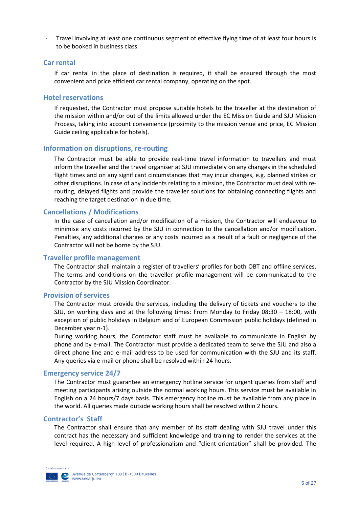- Travel involving at least one continuous segment of effective flying time of at least four hours is to be booked in business class.

#### **Car rental**

If car rental in the place of destination is required, it shall be ensured through the most convenient and price efficient car rental company, operating on the spot.

#### **Hotel reservations**

If requested, the Contractor must propose suitable hotels to the traveller at the destination of the mission within and/or out of the limits allowed under the EC Mission Guide and SJU Mission Process, taking into account convenience (proximity to the mission venue and price, EC Mission Guide ceiling applicable for hotels).

#### **Information on disruptions, re-routing**

The Contractor must be able to provide real-time travel information to travellers and must inform the traveller and the travel organiser at SJU immediately on any changes in the scheduled flight times and on any significant circumstances that may incur changes, e.g. planned strikes or other disruptions. In case of any incidents relating to a mission, the Contractor must deal with rerouting, delayed flights and provide the traveller solutions for obtaining connecting flights and reaching the target destination in due time.

#### **Cancellations / Modifications**

In the case of cancellation and/or modification of a mission, the Contractor will endeavour to minimise any costs incurred by the SJU in connection to the cancellation and/or modification. Penalties, any additional charges or any costs incurred as a result of a fault or negligence of the Contractor will not be borne by the SJU.

#### **Traveller profile management**

The Contractor shall maintain a register of travellers' profiles for both OBT and offline services. The terms and conditions on the traveller profile management will be communicated to the Contractor by the SJU Mission Coordinator.

#### **Provision of services**

The Contractor must provide the services, including the delivery of tickets and vouchers to the SJU, on working days and at the following times: From Monday to Friday 08:30 – 18:00, with exception of public holidays in Belgium and of European Commission public holidays (defined in December year n-1).

During working hours, the Contractor staff must be available to communicate in English by phone and by e-mail. The Contractor must provide a dedicated team to serve the SJU and also a direct phone line and e-mail address to be used for communication with the SJU and its staff. Any queries via e-mail or phone shall be resolved within 24 hours.

#### **Emergency service 24/7**

The Contractor must guarantee an emergency hotline service for urgent queries from staff and meeting participants arising outside the normal working hours. This service must be available in English on a 24 hours/7 days basis. This emergency hotline must be available from any place in the world. All queries made outside working hours shall be resolved within 2 hours.

#### **Contractor's Staff**

The Contractor shall ensure that any member of its staff dealing with SJU travel under this contract has the necessary and sufficient knowledge and training to render the services at the level required. A high level of professionalism and "client-orientation" shall be provided. The

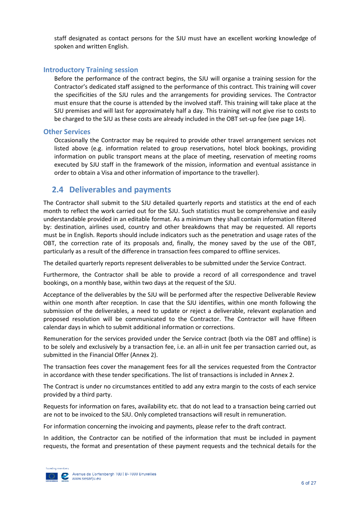staff designated as contact persons for the SJU must have an excellent working knowledge of spoken and written English.

#### **Introductory Training session**

Before the performance of the contract begins, the SJU will organise a training session for the Contractor's dedicated staff assigned to the performance of this contract. This training will cover the specificities of the SJU rules and the arrangements for providing services. The Contractor must ensure that the course is attended by the involved staff. This training will take place at the SJU premises and will last for approximately half a day. This training will not give rise to costs to be charged to the SJU as these costs are already included in the OBT set-up fee (see page 14).

#### **Other Services**

Occasionally the Contractor may be required to provide other travel arrangement services not listed above (e.g. information related to group reservations, hotel block bookings, providing information on public transport means at the place of meeting, reservation of meeting rooms executed by SJU staff in the framework of the mission, information and eventual assistance in order to obtain a Visa and other information of importance to the traveller).

### <span id="page-7-0"></span>**2.4 Deliverables and payments**

The Contractor shall submit to the SJU detailed quarterly reports and statistics at the end of each month to reflect the work carried out for the SJU. Such statistics must be comprehensive and easily understandable provided in an editable format. As a minimum they shall contain information filtered by: destination, airlines used, country and other breakdowns that may be requested. All reports must be in English. Reports should include indicators such as the penetration and usage rates of the OBT, the correction rate of its proposals and, finally, the money saved by the use of the OBT, particularly as a result of the difference in transaction fees compared to offline services.

The detailed quarterly reports represent deliverables to be submitted under the Service Contract.

Furthermore, the Contractor shall be able to provide a record of all correspondence and travel bookings, on a monthly base, within two days at the request of the SJU.

Acceptance of the deliverables by the SJU will be performed after the respective Deliverable Review within one month after reception. In case that the SJU identifies, within one month following the submission of the deliverables, a need to update or reject a deliverable, relevant explanation and proposed resolution will be communicated to the Contractor. The Contractor will have fifteen calendar days in which to submit additional information or corrections.

Remuneration for the services provided under the Service contract (both via the OBT and offline) is to be solely and exclusively by a transaction fee, i.e. an all-in unit fee per transaction carried out, as submitted in the Financial Offer (Annex 2).

The transaction fees cover the management fees for all the services requested from the Contractor in accordance with these tender specifications. The list of transactions is included in Annex 2.

The Contract is under no circumstances entitled to add any extra margin to the costs of each service provided by a third party.

Requests for information on fares, availability etc. that do not lead to a transaction being carried out are not to be invoiced to the SJU. Only completed transactions will result in remuneration.

For information concerning the invoicing and payments, please refer to the draft contract.

In addition, the Contractor can be notified of the information that must be included in payment requests, the format and presentation of these payment requests and the technical details for the

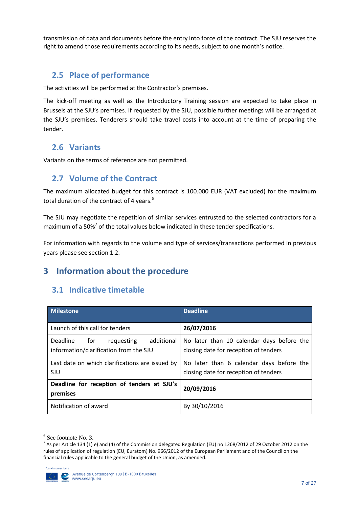transmission of data and documents before the entry into force of the contract. The SJU reserves the right to amend those requirements according to its needs, subject to one month's notice.

### <span id="page-8-0"></span>**2.5 Place of performance**

The activities will be performed at the Contractor's premises.

The kick-off meeting as well as the Introductory Training session are expected to take place in Brussels at the SJU's premises. If requested by the SJU, possible further meetings will be arranged at the SJU's premises. Tenderers should take travel costs into account at the time of preparing the tender.

### <span id="page-8-1"></span>**2.6 Variants**

Variants on the terms of reference are not permitted.

### <span id="page-8-2"></span>**2.7 Volume of the Contract**

The maximum allocated budget for this contract is 100.000 EUR (VAT excluded) for the maximum total duration of the contract of 4 years.<sup>6</sup>

The SJU may negotiate the repetition of similar services entrusted to the selected contractors for a maximum of a 50% $7$  of the total values below indicated in these tender specifications.

For information with regards to the volume and type of services/transactions performed in previous years please see section 1.2.

# <span id="page-8-3"></span>**3 Information about the procedure**

# <span id="page-8-4"></span>**3.1 Indicative timetable**

| <b>Milestone</b>                                                                      | <b>Deadline</b>                                                                    |
|---------------------------------------------------------------------------------------|------------------------------------------------------------------------------------|
| Launch of this call for tenders                                                       | 26/07/2016                                                                         |
| Deadline<br>additional<br>requesting<br>for<br>information/clarification from the SJU | No later than 10 calendar days before the<br>closing date for reception of tenders |
| Last date on which clarifications are issued by<br><b>SJU</b>                         | No later than 6 calendar days before the<br>closing date for reception of tenders  |
| Deadline for reception of tenders at SJU's<br>premises                                | 20/09/2016                                                                         |
| Notification of award                                                                 | By 30/10/2016                                                                      |

<sup>6</sup> See footnote No. 3.

<sup>&</sup>lt;sup>7</sup> As per Article 134 (1) e) and (4) of the Commission delegated Regulation (EU) no 1268/2012 of 29 October 2012 on the rules of application of regulation (EU, Euratom) No. 966/2012 of the European Parliament and of the Council on the financial rules applicable to the general budget of the Union, as amended.



**.**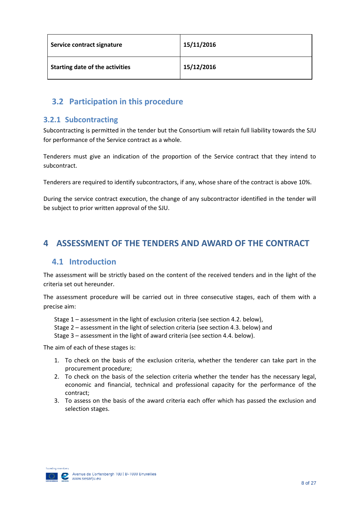| Service contract signature             | 15/11/2016 |
|----------------------------------------|------------|
| <b>Starting date of the activities</b> | 15/12/2016 |

### <span id="page-9-0"></span>**3.2 Participation in this procedure**

### <span id="page-9-1"></span>**3.2.1 Subcontracting**

Subcontracting is permitted in the tender but the Consortium will retain full liability towards the SJU for performance of the Service contract as a whole.

Tenderers must give an indication of the proportion of the Service contract that they intend to subcontract.

Tenderers are required to identify subcontractors, if any, whose share of the contract is above 10%.

During the service contract execution, the change of any subcontractor identified in the tender will be subject to prior written approval of the SJU.

# <span id="page-9-2"></span>**4 ASSESSMENT OF THE TENDERS AND AWARD OF THE CONTRACT**

### <span id="page-9-3"></span>**4.1 Introduction**

The assessment will be strictly based on the content of the received tenders and in the light of the criteria set out hereunder.

The assessment procedure will be carried out in three consecutive stages, each of them with a precise aim:

Stage 1 – assessment in the light of exclusion criteria (see section 4.2. below),

Stage 2 – assessment in the light of selection criteria (see section 4.3. below) and

Stage 3 – assessment in the light of award criteria (see section 4.4. below).

The aim of each of these stages is:

- 1. To check on the basis of the exclusion criteria, whether the tenderer can take part in the procurement procedure;
- 2. To check on the basis of the selection criteria whether the tender has the necessary legal, economic and financial, technical and professional capacity for the performance of the contract;
- 3. To assess on the basis of the award criteria each offer which has passed the exclusion and selection stages.

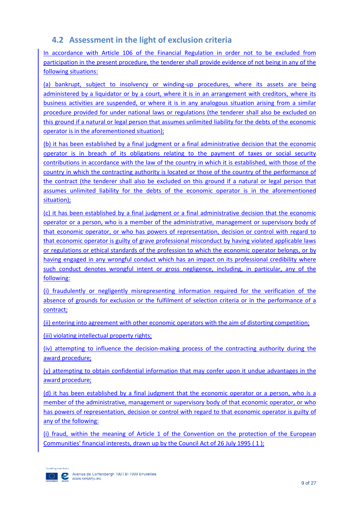## <span id="page-10-0"></span>**4.2 Assessment in the light of exclusion criteria**

In accordance with Article 106 of the Financial Regulation in order not to be excluded from participation in the present procedure, the tenderer shall provide evidence of not being in any of the following situations:

(a) bankrupt, subject to insolvency or winding-up procedures, where its assets are being administered by a liquidator or by a court, where it is in an arrangement with creditors, where its business activities are suspended, or where it is in any analogous situation arising from a similar procedure provided for under national laws or regulations (the tenderer shall also be excluded on this ground if a natural or legal person that assumes unlimited liability for the debts of the economic operator is in the aforementioned situation);

(b) it has been established by a final judgment or a final administrative decision that the economic operator is in breach of its obligations relating to the payment of taxes or social security contributions in accordance with the law of the country in which it is established, with those of the country in which the contracting authority is located or those of the country of the performance of the contract (the tenderer shall also be excluded on this ground if a natural or legal person that assumes unlimited liability for the debts of the economic operator is in the aforementioned situation);

(c) it has been established by a final judgment or a final administrative decision that the economic operator or a person, who is a member of the administrative, management or supervisory body of that economic operator, or who has powers of representation, decision or control with regard to that economic operator is guilty of grave professional misconduct by having violated applicable laws or regulations or ethical standards of the profession to which the economic operator belongs, or by having engaged in any wrongful conduct which has an impact on its professional credibility where such conduct denotes wrongful intent or gross negligence, including, in particular, any of the following:

(i) fraudulently or negligently misrepresenting information required for the verification of the absence of grounds for exclusion or the fulfilment of selection criteria or in the performance of a contract;

(ii) entering into agreement with other economic operators with the aim of distorting competition;

(iii) violating intellectual property rights;

(iv) attempting to influence the decision-making process of the contracting authority during the award procedure;

(v) attempting to obtain confidential information that may confer upon it undue advantages in the award procedure;

(d) it has been established by a final judgment that the economic operator or a person, who is a member of the administrative, management or supervisory body of that economic operator, or who has powers of representation, decision or control with regard to that economic operator is guilty of any of the following:

(i) fraud, within the meaning of Article 1 of the Convention on the protection of the European Communities' financial interests, drawn up by the Council Act of 26 July 1995 ( 1 );

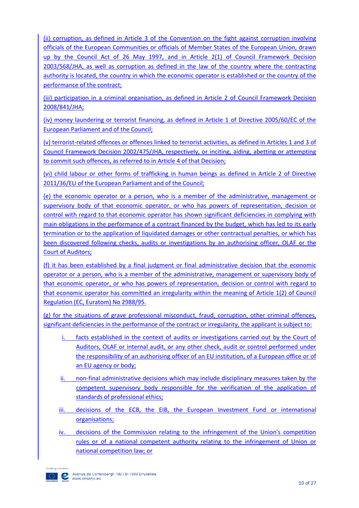(ii) corruption, as defined in Article 3 of the Convention on the fight against corruption involving officials of the European Communities or officials of Member States of the European Union, drawn up by the Council Act of 26 May 1997, and in Article 2(1) of Council Framework Decision 2003/568/JHA, as well as corruption as defined in the law of the country where the contracting authority is located, the country in which the economic operator is established or the country of the performance of the contract;

(iii) participation in a criminal organisation, as defined in Article 2 of Council Framework Decision 2008/841/JHA;

(iv) money laundering or terrorist financing, as defined in Article 1 of Directive 2005/60/EC of the European Parliament and of the Council;

(v) terrorist-related offences or offences linked to terrorist activities, as defined in Articles 1 and 3 of Council Framework Decision 2002/475/JHA, respectively, or inciting, aiding, abetting or attempting to commit such offences, as referred to in Article 4 of that Decision;

(vi) child labour or other forms of trafficking in human beings as defined in Article 2 of Directive 2011/36/EU of the European Parliament and of the Council;

(e) the economic operator or a person, who is a member of the administrative, management or supervisory body of that economic operator, or who has powers of representation, decision or control with regard to that economic operator has shown significant deficiencies in complying with main obligations in the performance of a contract financed by the budget, which has led to its early termination or to the application of liquidated damages or other contractual penalties, or which has been discovered following checks, audits or investigations by an authorising officer, OLAF or the Court of Auditors;

(f) it has been established by a final judgment or final administrative decision that the economic operator or a person, who is a member of the administrative, management or supervisory body of that economic operator, or who has powers of representation, decision or control with regard to that economic operator has committed an irregularity within the meaning of Article 1(2) of Council Regulation (EC, Euratom) No 2988/95.

(g) for the situations of grave professional misconduct, fraud, corruption, other criminal offences, significant deficiencies in the performance of the contract or irregularity, the applicant is subject to:

- i. facts established in the context of audits or investigations carried out by the Court of Auditors, OLAF or internal audit, or any other check, audit or control performed under the responsibility of an authorising officer of an EU institution, of a European office or of an EU agency or body;
- ii. non-final administrative decisions which may include disciplinary measures taken by the competent supervisory body responsible for the verification of the application of standards of professional ethics;
- iii. decisions of the ECB, the EIB, the European Investment Fund or international organisations;
- iv. decisions of the Commission relating to the infringement of the Union's competition rules or of a national competent authority relating to the infringement of Union or national competition law; or

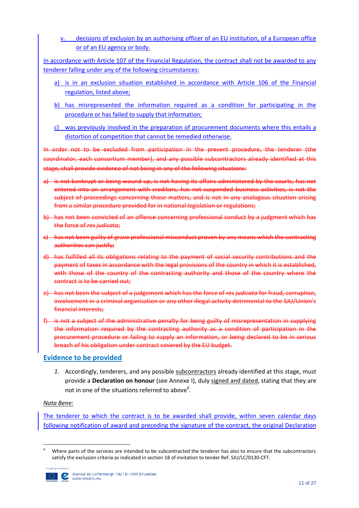v. decisions of exclusion by an authorising officer of an EU institution, of a European office or of an EU agency or body.

In accordance with Article 107 of the Financial Regulation, the contract shall not be awarded to any tenderer falling under any of the following circumstances:

- a) is in an exclusion situation established in accordance with Article 106 of the Financial regulation, listed above;
- b) has misrepresented the information required as a condition for participating in the procedure or has failed to supply that information;
- c) was previously involved in the preparation of procurement documents where this entails a distortion of competition that cannot be remedied otherwise.

In order not to be excluded from participation in the present procedure, the tenderer (the coordinator, each consortium member), and any possible subcontractors already identified at this stage, shall provide evidence of not being in any of the following situations:

- a) is not bankrupt or being wound up, is not having its affairs administered by the courts, has not entered into an arrangement with creditors, has not suspended business activities, is not the subject of proceedings concerning those matters, and is not in any analogous situation arising from a similar procedure provided for in national legislation or regulations;
- b) has not been convicted of an offence concerning professional conduct by a judgment which has the force of *res judicata*;
- c) has not been guilty of grave professional misconduct proven by any means which the contracting authorities can justify;
- d) has fulfilled all its obligations relating to the payment of social security contributions and the payment of taxes in accordance with the legal provisions of the country in which it is established, with those of the country of the contracting authority and those of the country where the contract is to be carried out;
- e) has not been the subject of a judgement which has the force of *res judicata* for fraud, corruption, involvement in a criminal organisation or any other illegal activity detrimental to the SJU/Union's financial interests;
- f) is not a subject of the administrative penalty for being guilty of misrepresentation in supplying the information required by the contracting authority as a condition of participation in the procurement procedure or failing to supply an information, or being declared to be in serious breach of his obligation under contract covered by the EU budget.

### **Evidence to be provided**

*1.* Accordingly, tenderers, and any possible subcontractors already identified at this stage, must provide a **Declaration on honour** (see Annexe I), duly signed and dated, stating that they are not in one of the situations referred to above<sup>8</sup>.

#### *Nota Bene:*

The tenderer to which the contract is to be awarded shall provide, within seven calendar days following notification of award and preceding the signature of the contract, the original Declaration

**<sup>.</sup>** Where parts of the services are intended to be subcontracted the tenderer has also to ensure that the subcontractors satisfy the exclusion criteria as indicated in section 18 of invitation to tender Ref. SJU/LC/0130-CFT.

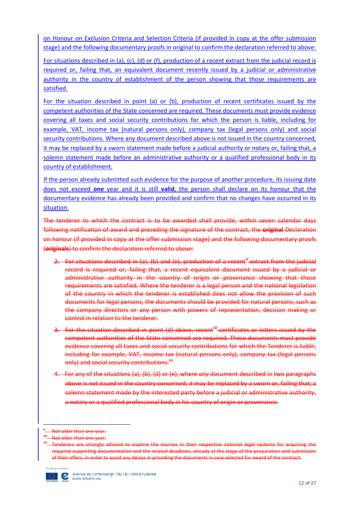on Honour on Exclusion Criteria and Selection Criteria (if provided in copy at the offer submission stage) and the following documentary proofs in original to confirm the declaration referred to above:

For situations described in (a), (c), (d) or (f), production of a recent extract from the judicial record is required or, failing that, an equivalent document recently issued by a judicial or administrative authority in the country of establishment of the person showing that those requirements are satisfied.

For the situation described in point (a) or (b), production of recent certificates issued by the competent authorities of the State concerned are required. These documents must provide evidence covering all taxes and social security contributions for which the person is liable, including for example, VAT, income tax (natural persons only), company tax (legal persons only) and social security contributions. Where any document described above is not issued in the country concerned, it may be replaced by a sworn statement made before a judicial authority or notary or, failing that, a solemn statement made before an administrative authority or a qualified professional body in its country of establishment.

If the person already submitted such evidence for the purpose of another procedure, its issuing date does not exceed **one** year and it is still **valid**, the person shall declare on its honour that the documentary evidence has already been provided and confirm that no changes have occurred in its situation.

The tenderer to which the contract is to be awarded shall provide, within seven calendar days following notification of award and preceding the signature of the contract, the **original** Declaration on honour (if provided in copy at the offer submission stage) and the following documentary proofs (**originals**) to confirm the declaration referred to above:

- 2. For situations described in (a), (b) and (e), production of a recent<sup>9</sup> extract from the judicial record is required or, failing that, a recent equivalent document issued by a judicial or administrative authority in the country of origin or provenance showing that those requirements are satisfied. Where the tenderer is a legal person and the national legislation of the country in which the tenderer is established does not allow the provision of such documents for legal persons, the documents should be provided for natural persons, such as the company directors or any person with powers of representation, decision making or control in relation to the tenderer.
- 3. For the situation described in point (d) above, recent<sup>40</sup> certificates or letters issued by the competent authorities of the State concerned are required. These documents must provide evidence covering all taxes and social security contributions for which the Tenderer is liable, including for example, VAT, income tax (natural persons only), company tax (legal persons only) and social security contributions.<sup>44</sup>
- 4. For any of the situations (a), (b), (d) or (e), where *any* document described in two paragraphs above is *not issued* in the country concerned, *it* may be replaced by a sworn or, failing that, a solemn statement made by the interested party before a judicial or administrative authority, a notary or a qualified professional body in his country of origin or provenance.

enderers are strongly advised to explore the sources in their respective national legal systems for acquiring the required supporting documentation and the related deadlines, already at the stage of the preparation and submission of their offers, in order to avoid any delays in providing the documents in case selected for



**.** 

Not older than one year.

Not older than one year.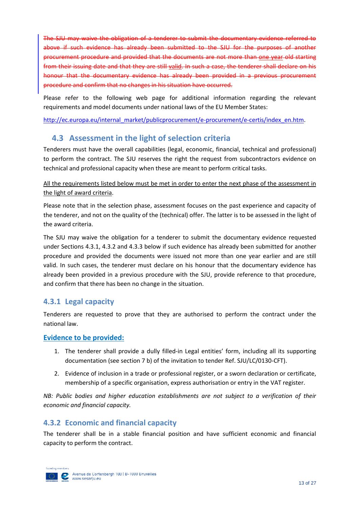The SJU may waive the obligation of a tenderer to submit the documentary evidence referred to above if such evidence has already been submitted to the SJU for the purposes of another procurement procedure and provided that the documents are not more than one year old starting from their issuing date and that they are still valid. In such a case, the tenderer shall declare on his honour that the documentary evidence has already been provided in a previous procurement procedure and confirm that no changes in his situation have occurred.

Please refer to the following web page for additional information regarding the relevant requirements and model documents under national laws of the EU Member States:

[http://ec.europa.eu/internal\\_market/publicprocurement/e-procurement/e-certis/index\\_en.htm.](http://ec.europa.eu/internal_market/publicprocurement/e-procurement/e-certis/index_en.htm)

### <span id="page-14-0"></span>**4.3 Assessment in the light of selection criteria**

Tenderers must have the overall capabilities (legal, economic, financial, technical and professional) to perform the contract. The SJU reserves the right the request from subcontractors evidence on technical and professional capacity when these are meant to perform critical tasks.

### All the requirements listed below must be met in order to enter the next phase of the assessment in the light of award criteria.

Please note that in the selection phase, assessment focuses on the past experience and capacity of the tenderer, and not on the quality of the (technical) offer. The latter is to be assessed in the light of the award criteria.

The SJU may waive the obligation for a tenderer to submit the documentary evidence requested under Sections 4.3.1, 4.3.2 and 4.3.3 below if such evidence has already been submitted for another procedure and provided the documents were issued not more than one year earlier and are still valid. In such cases, the tenderer must declare on his honour that the documentary evidence has already been provided in a previous procedure with the SJU, provide reference to that procedure, and confirm that there has been no change in the situation.

### <span id="page-14-1"></span>**4.3.1 Legal capacity**

Tenderers are requested to prove that they are authorised to perform the contract under the national law.

### **Evidence to be provided:**

- 1. The tenderer shall provide a dully filled-in Legal entities' form, including all its supporting documentation (see section 7 b) of the invitation to tender Ref. SJU/LC/0130-CFT).
- 2. Evidence of inclusion in a trade or professional register, or a sworn declaration or certificate, membership of a specific organisation, express authorisation or entry in the VAT register.

*NB: Public bodies and higher education establishments are not subject to a verification of their economic and financial capacity.*

### <span id="page-14-2"></span>**4.3.2 Economic and financial capacity**

The tenderer shall be in a stable financial position and have sufficient economic and financial capacity to perform the contract.

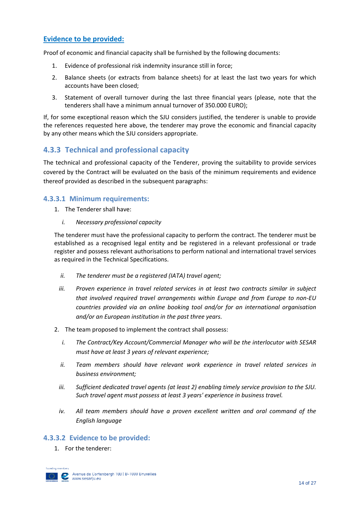### **Evidence to be provided:**

Proof of economic and financial capacity shall be furnished by the following documents:

- 1. Evidence of professional risk indemnity insurance still in force;
- 2. Balance sheets (or extracts from balance sheets) for at least the last two years for which accounts have been closed;
- 3. Statement of overall turnover during the last three financial years (please, note that the tenderers shall have a minimum annual turnover of 350.000 EURO);

If, for some exceptional reason which the SJU considers justified, the tenderer is unable to provide the references requested here above, the tenderer may prove the economic and financial capacity by any other means which the SJU considers appropriate.

### <span id="page-15-0"></span>**4.3.3 Technical and professional capacity**

The technical and professional capacity of the Tenderer, proving the suitability to provide services covered by the Contract will be evaluated on the basis of the minimum requirements and evidence thereof provided as described in the subsequent paragraphs:

#### **4.3.3.1 Minimum requirements:**

- 1. The Tenderer shall have:
	- *i. Necessary professional capacity*

The tenderer must have the professional capacity to perform the contract. The tenderer must be established as a recognised legal entity and be registered in a relevant professional or trade register and possess relevant authorisations to perform national and international travel services as required in the Technical Specifications.

- *ii. The tenderer must be a registered (IATA) travel agent;*
- *iii. Proven experience in travel related services in at least two contracts similar in subject that involved required travel arrangements within Europe and from Europe to non-EU countries provided via an online booking tool and/or for an international organisation and/or an European institution in the past three years.*
- 2. The team proposed to implement the contract shall possess:
	- *i. The Contract/Key Account/Commercial Manager who will be the interlocutor with SESAR must have at least 3 years of relevant experience;*
	- *ii. Team members should have relevant work experience in travel related services in business environment;*
	- *iii. Sufficient dedicated travel agents (at least 2) enabling timely service provision to the SJU. Such travel agent must possess at least 3 years' experience in business travel.*
	- *iv. All team members should have a proven excellent written and oral command of the English language*

### **4.3.3.2 Evidence to be provided:**

1. For the tenderer:

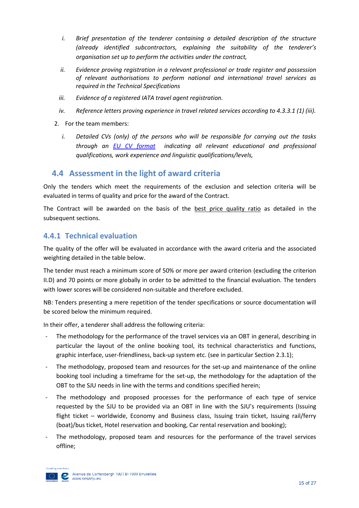- *i. Brief presentation of the tenderer containing a detailed description of the structure (already identified subcontractors, explaining the suitability of the tenderer's organisation set up to perform the activities under the contract,*
- *ii. Evidence proving registration in a relevant professional or trade register and possession of relevant authorisations to perform national and international travel services as required in the Technical Specifications*
- *iii. Evidence of a registered IATA travel agent registration.*
- *iv. Reference letters proving experience in travel related services according to 4.3.3.1 (1) (iii).*
- 2. For the team members:
	- *i. Detailed CVs (only) of the persons who will be responsible for carrying out the tasks through an [EU CV format](https://europass.cedefop.europa.eu/en/documents/curriculum-vitae/templates-instructions) indicating all relevant educational and professional qualifications, work experience and linguistic qualifications/levels,*

### <span id="page-16-0"></span>**4.4 Assessment in the light of award criteria**

Only the tenders which meet the requirements of the exclusion and selection criteria will be evaluated in terms of quality and price for the award of the Contract.

The Contract will be awarded on the basis of the best price quality ratio as detailed in the subsequent sections.

### <span id="page-16-1"></span>**4.4.1 Technical evaluation**

The quality of the offer will be evaluated in accordance with the award criteria and the associated weighting detailed in the table below.

The tender must reach a minimum score of 50% or more per award criterion (excluding the criterion II.D) and 70 points or more globally in order to be admitted to the financial evaluation. The tenders with lower scores will be considered non-suitable and therefore excluded.

NB: Tenders presenting a mere repetition of the tender specifications or source documentation will be scored below the minimum required.

In their offer, a tenderer shall address the following criteria:

- The methodology for the performance of the travel services via an OBT in general, describing in particular the layout of the online booking tool, its technical characteristics and functions, graphic interface, user-friendliness, back-up system etc. (see in particular Section 2.3.1);
- The methodology, proposed team and resources for the set-up and maintenance of the online booking tool including a timeframe for the set-up, the methodology for the adaptation of the OBT to the SJU needs in line with the terms and conditions specified herein;
- The methodology and proposed processes for the performance of each type of service requested by the SJU to be provided via an OBT in line with the SJU's requirements (Issuing flight ticket – worldwide, Economy and Business class, Issuing train ticket, Issuing rail/ferry (boat)/bus ticket, Hotel reservation and booking, Car rental reservation and booking);
- The methodology, proposed team and resources for the performance of the travel services offline;

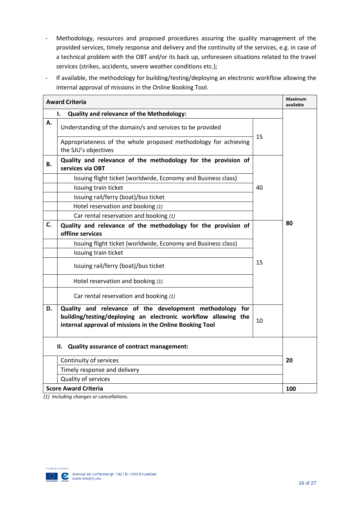- Methodology, resources and proposed procedures assuring the quality management of the provided services, timely response and delivery and the continuity of the services, e.g. in case of a technical problem with the OBT and/or its back up, unforeseen situations related to the travel services (strikes, accidents, severe weather conditions etc.);
- If available, the methodology for building/testing/deploying an electronic workflow allowing the internal approval of missions in the Online Booking Tool.

|    | <b>Award Criteria</b>                                                                                                                                                                  |    | <b>Maximum</b><br>available |
|----|----------------------------------------------------------------------------------------------------------------------------------------------------------------------------------------|----|-----------------------------|
|    | <b>Quality and relevance of the Methodology:</b><br>ı.                                                                                                                                 |    |                             |
| А. | Understanding of the domain/s and services to be provided                                                                                                                              |    |                             |
|    | Appropriateness of the whole proposed methodology for achieving<br>the SJU's objectives                                                                                                | 15 |                             |
| В. | Quality and relevance of the methodology for the provision of<br>services via OBT                                                                                                      |    |                             |
|    | Issuing flight ticket (worldwide, Economy and Business class)                                                                                                                          |    |                             |
|    | Issuing train ticket                                                                                                                                                                   | 40 |                             |
|    | Issuing rail/ferry (boat)/bus ticket                                                                                                                                                   |    |                             |
|    | Hotel reservation and booking (1)                                                                                                                                                      |    |                             |
|    | Car rental reservation and booking (1)                                                                                                                                                 |    |                             |
| C. | Quality and relevance of the methodology for the provision of<br>offline services                                                                                                      |    | 80                          |
|    | Issuing flight ticket (worldwide, Economy and Business class)                                                                                                                          |    |                             |
|    | Issuing train ticket                                                                                                                                                                   |    |                             |
|    | Issuing rail/ferry (boat)/bus ticket                                                                                                                                                   | 15 |                             |
|    | Hotel reservation and booking (1)                                                                                                                                                      |    |                             |
|    | Car rental reservation and booking (1)                                                                                                                                                 |    |                             |
| D. | Quality and relevance of the development methodology for<br>building/testing/deploying an electronic workflow allowing the<br>internal approval of missions in the Online Booking Tool | 10 |                             |
|    | Quality assurance of contract management:<br>Н.                                                                                                                                        |    |                             |
|    | Continuity of services                                                                                                                                                                 |    | 20                          |
|    | Timely response and delivery                                                                                                                                                           |    |                             |
|    | Quality of services                                                                                                                                                                    |    |                             |
|    | <b>Score Award Criteria</b>                                                                                                                                                            |    | 100                         |

*(1) Including changes or cancellations.*

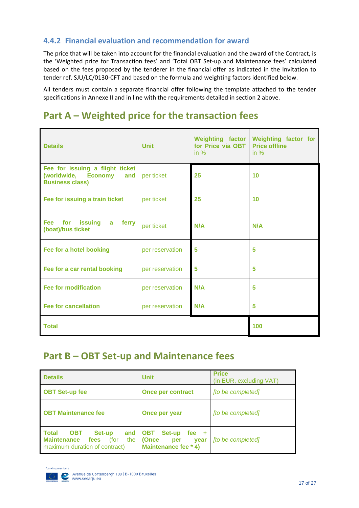### <span id="page-18-0"></span>**4.4.2 Financial evaluation and recommendation for award**

The price that will be taken into account for the financial evaluation and the award of the Contract, is the 'Weighted price for Transaction fees' and 'Total OBT Set-up and Maintenance fees' calculated based on the fees proposed by the tenderer in the financial offer as indicated in the Invitation to tender ref. SJU/LC/0130-CFT and based on the formula and weighting factors identified below.

All tenders must contain a separate financial offer following the template attached to the tender specifications in Annexe II and in line with the requirements detailed in section 2 above.

# **Part A – Weighted price for the transaction fees**

| <b>Details</b>                                                                          | <b>Unit</b>     | <b>Weighting factor</b><br>for Price via OBT<br>in $%$ | <b>Weighting factor for</b><br><b>Price offline</b><br>in $%$ |
|-----------------------------------------------------------------------------------------|-----------------|--------------------------------------------------------|---------------------------------------------------------------|
| Fee for issuing a flight ticket<br>(worldwide, Economy<br>and<br><b>Business class)</b> | per ticket      | 25                                                     | 10                                                            |
| Fee for issuing a train ticket                                                          | per ticket      | 25                                                     | 10                                                            |
| <b>Fee</b><br>for<br>issuing a ferry<br>(boat)/bus ticket                               | per ticket      | N/A                                                    | N/A                                                           |
| Fee for a hotel booking                                                                 | per reservation | 5                                                      | 5                                                             |
| Fee for a car rental booking                                                            | per reservation | 5                                                      | 5                                                             |
| <b>Fee for modification</b>                                                             | per reservation | N/A                                                    | 5                                                             |
| <b>Fee for cancellation</b>                                                             | per reservation | N/A                                                    | 5                                                             |
| <b>Total</b>                                                                            |                 |                                                        | 100                                                           |

# **Part B – OBT Set-up and Maintenance fees**

| <b>Details</b>                                                                                                            | <b>Unit</b>                                                                     | <b>Price</b><br>(in EUR, excluding VAT) |
|---------------------------------------------------------------------------------------------------------------------------|---------------------------------------------------------------------------------|-----------------------------------------|
| <b>OBT Set-up fee</b>                                                                                                     | <b>Once per contract</b>                                                        | [to be completed]                       |
| <b>OBT Maintenance fee</b>                                                                                                | Once per year                                                                   | [to be completed]                       |
| <b>Total</b><br>Set-up<br><b>OBT</b><br>and<br><b>Maintenance</b><br>fees<br>(for<br>the<br>maximum duration of contract) | Set-up<br>OBT<br>fee $+$<br>(Once<br>per<br><b>vear</b><br>Maintenance fee * 4) | [to be completed]                       |

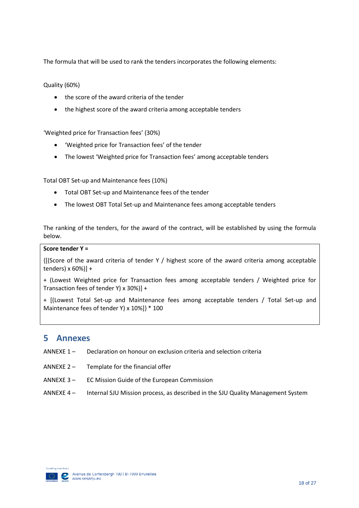The formula that will be used to rank the tenders incorporates the following elements:

Quality (60%)

- the score of the award criteria of the tender
- the highest score of the award criteria among acceptable tenders

'Weighted price for Transaction fees' (30%)

- 'Weighted price for Transaction fees' of the tender
- The lowest 'Weighted price for Transaction fees' among acceptable tenders

Total OBT Set-up and Maintenance fees (10%)

- Total OBT Set-up and Maintenance fees of the tender
- The lowest OBT Total Set-up and Maintenance fees among acceptable tenders

The ranking of the tenders, for the award of the contract, will be established by using the formula below.

#### **Score tender Y =**

{[(Score of the award criteria of tender Y / highest score of the award criteria among acceptable tenders) x 60%)] +

+ (Lowest Weighted price for Transaction fees among acceptable tenders / Weighted price for Transaction fees of tender Y) x 30%)] +

+ [(Lowest Total Set-up and Maintenance fees among acceptable tenders / Total Set-up and Maintenance fees of tender Y) x 10%]} \* 100

### <span id="page-19-0"></span>**5 Annexes**

- ANNEXE 1 Declaration on honour on exclusion criteria and selection criteria
- ANNEXE 2 Template for the financial offer
- ANNEXE 3 EC Mission Guide of the European Commission
- ANNEXE 4 Internal SJU Mission process, as described in the SJU Quality Management System

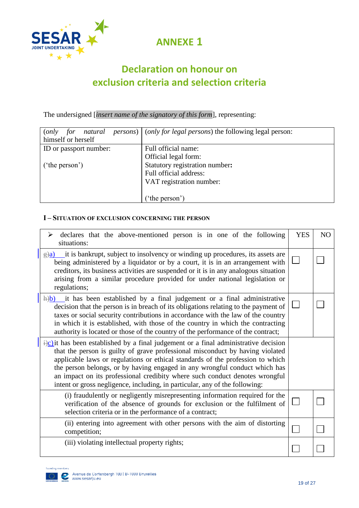

**ANNEXE 1**

# **Declaration on honour on exclusion criteria and selection criteria**

The undersigned [*insert name of the signatory of this form*], representing:

| natural<br>for<br>( <i>only</i> | <i>persons</i> )   ( <i>only for legal persons</i> ) the following legal person: |
|---------------------------------|----------------------------------------------------------------------------------|
| himself or herself              |                                                                                  |
| ID or passport number:          | Full official name:                                                              |
|                                 | Official legal form:                                                             |
| $'$ the person')                | Statutory registration number:                                                   |
|                                 | Full official address:                                                           |
|                                 | VAT registration number:                                                         |
|                                 |                                                                                  |
|                                 | ('the person')                                                                   |

### **I – SITUATION OF EXCLUSION CONCERNING THE PERSON**

| declares that the above-mentioned person is in one of the following<br>situations:                                                                                                                                                                                                                                                                                                                                                                                                                           | <b>YES</b> | N <sub>O</sub> |
|--------------------------------------------------------------------------------------------------------------------------------------------------------------------------------------------------------------------------------------------------------------------------------------------------------------------------------------------------------------------------------------------------------------------------------------------------------------------------------------------------------------|------------|----------------|
| it is bankrupt, subject to insolvency or winding up procedures, its assets are<br>$\frac{1}{2}$<br>being administered by a liquidator or by a court, it is in an arrangement with<br>creditors, its business activities are suspended or it is in any analogous situation<br>arising from a similar procedure provided for under national legislation or<br>regulations;                                                                                                                                     |            |                |
| $\frac{h(b)}{b}$ it has been established by a final judgement or a final administrative<br>decision that the person is in breach of its obligations relating to the payment of<br>taxes or social security contributions in accordance with the law of the country<br>in which it is established, with those of the country in which the contracting<br>authority is located or those of the country of the performance of the contract;                                                                     |            |                |
| $\frac{1}{2}$ it has been established by a final judgement or a final administrative decision<br>that the person is guilty of grave professional misconduct by having violated<br>applicable laws or regulations or ethical standards of the profession to which<br>the person belongs, or by having engaged in any wrongful conduct which has<br>an impact on its professional credibity where such conduct denotes wrongful<br>intent or gross negligence, including, in particular, any of the following: |            |                |
| (i) fraudulently or negligently misrepresenting information required for the<br>verification of the absence of grounds for exclusion or the fulfilment of<br>selection criteria or in the performance of a contract;                                                                                                                                                                                                                                                                                         |            |                |
| (ii) entering into agreement with other persons with the aim of distorting<br>competition;                                                                                                                                                                                                                                                                                                                                                                                                                   |            |                |
| (iii) violating intellectual property rights;                                                                                                                                                                                                                                                                                                                                                                                                                                                                |            |                |

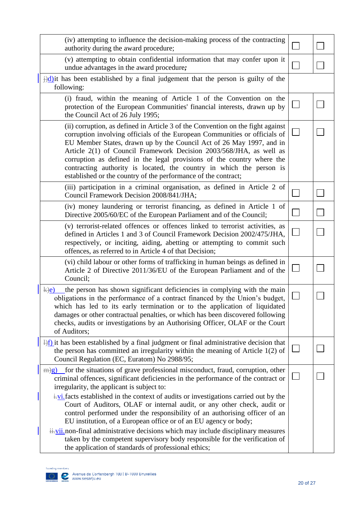| (iv) attempting to influence the decision-making process of the contracting<br>authority during the award procedure;                                                                                                                                                                                                                                                                                                                                                                                                             |  |
|----------------------------------------------------------------------------------------------------------------------------------------------------------------------------------------------------------------------------------------------------------------------------------------------------------------------------------------------------------------------------------------------------------------------------------------------------------------------------------------------------------------------------------|--|
| (v) attempting to obtain confidential information that may confer upon it<br>undue advantages in the award procedure;                                                                                                                                                                                                                                                                                                                                                                                                            |  |
| $\frac{1}{2}$ d) it has been established by a final judgement that the person is guilty of the<br>following:                                                                                                                                                                                                                                                                                                                                                                                                                     |  |
| (i) fraud, within the meaning of Article 1 of the Convention on the<br>protection of the European Communities' financial interests, drawn up by<br>the Council Act of 26 July 1995;                                                                                                                                                                                                                                                                                                                                              |  |
| (ii) corruption, as defined in Article 3 of the Convention on the fight against<br>corruption involving officials of the European Communities or officials of<br>EU Member States, drawn up by the Council Act of 26 May 1997, and in<br>Article 2(1) of Council Framework Decision 2003/568/JHA, as well as<br>corruption as defined in the legal provisions of the country where the<br>contracting authority is located, the country in which the person is<br>established or the country of the performance of the contract; |  |
| (iii) participation in a criminal organisation, as defined in Article 2 of<br>Council Framework Decision 2008/841/JHA;                                                                                                                                                                                                                                                                                                                                                                                                           |  |
| (iv) money laundering or terrorist financing, as defined in Article 1 of<br>Directive 2005/60/EC of the European Parliament and of the Council;                                                                                                                                                                                                                                                                                                                                                                                  |  |
| (v) terrorist-related offences or offences linked to terrorist activities, as<br>defined in Articles 1 and 3 of Council Framework Decision 2002/475/JHA,<br>respectively, or inciting, aiding, abetting or attempting to commit such<br>offences, as referred to in Article 4 of that Decision;                                                                                                                                                                                                                                  |  |
| (vi) child labour or other forms of trafficking in human beings as defined in<br>Article 2 of Directive 2011/36/EU of the European Parliament and of the<br>Council;                                                                                                                                                                                                                                                                                                                                                             |  |
| the person has shown significant deficiencies in complying with the main<br>$\overline{k}$ )e<br>obligations in the performance of a contract financed by the Union's budget,<br>which has led to its early termination or to the application of liquidated<br>damages or other contractual penalties, or which has been discovered following<br>checks, audits or investigations by an Authorising Officer, OLAF or the Court<br>of Auditors;                                                                                   |  |
| $\frac{1}{2}$ it has been established by a final judgment or final administrative decision that<br>the person has committed an irregularity within the meaning of Article $1(2)$ of<br>Council Regulation (EC, Euratom) No 2988/95;                                                                                                                                                                                                                                                                                              |  |
| $\frac{m}{g}$ for the situations of grave professional misconduct, fraud, corruption, other<br>criminal offences, significant deficiencies in the performance of the contract or<br>irregularity, the applicant is subject to:                                                                                                                                                                                                                                                                                                   |  |
| $\frac{1}{2}$ i. facts established in the context of audits or investigations carried out by the<br>Court of Auditors, OLAF or internal audit, or any other check, audit or<br>control performed under the responsibility of an authorising officer of an<br>EU institution, of a European office or of an EU agency or body;                                                                                                                                                                                                    |  |
| ii.vii.non-final administrative decisions which may include disciplinary measures<br>taken by the competent supervisory body responsible for the verification of<br>the application of standards of professional ethics;                                                                                                                                                                                                                                                                                                         |  |

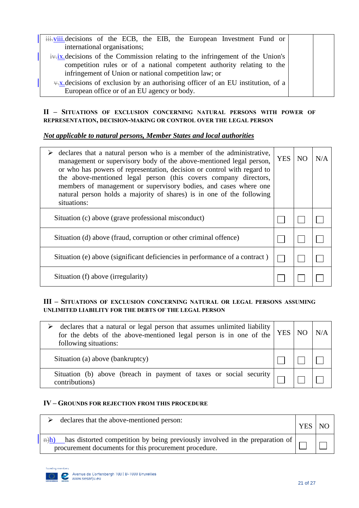| iii. viii. decisions of the ECB, the EIB, the European Investment Fund or<br>international organisations; |  |
|-----------------------------------------------------------------------------------------------------------|--|
|                                                                                                           |  |
| $\frac{1}{2}$ ix decisions of the Commission relating to the infringement of the Union's                  |  |
| competition rules or of a national competent authority relating to the                                    |  |
| infringement of Union or national competition law; or                                                     |  |
| $\overline{+x}$ decisions of exclusion by an authorising officer of an EU institution, of a               |  |
| European office or of an EU agency or body.                                                               |  |

#### **II – SITUATIONS OF EXCLUSION CONCERNING NATURAL PERSONS WITH POWER OF REPRESENTATION, DECISION-MAKING OR CONTROL OVER THE LEGAL PERSON**

#### *Not applicable to natural persons, Member States and local authorities*

| declares that a natural person who is a member of the administrative,<br>management or supervisory body of the above-mentioned legal person,<br>or who has powers of representation, decision or control with regard to<br>the above-mentioned legal person (this covers company directors,<br>members of management or supervisory bodies, and cases where one<br>natural person holds a majority of shares) is in one of the following<br>situations: | <b>YES</b> | N <sub>O</sub> | N/A |
|---------------------------------------------------------------------------------------------------------------------------------------------------------------------------------------------------------------------------------------------------------------------------------------------------------------------------------------------------------------------------------------------------------------------------------------------------------|------------|----------------|-----|
| Situation (c) above (grave professional misconduct)                                                                                                                                                                                                                                                                                                                                                                                                     |            |                |     |
| Situation (d) above (fraud, corruption or other criminal offence)                                                                                                                                                                                                                                                                                                                                                                                       |            |                |     |
| Situation (e) above (significant deficiencies in performance of a contract)                                                                                                                                                                                                                                                                                                                                                                             |            |                |     |
| Situation (f) above (irregularity)                                                                                                                                                                                                                                                                                                                                                                                                                      |            |                |     |

#### **III – SITUATIONS OF EXCLUSION CONCERNING NATURAL OR LEGAL PERSONS ASSUMING UNLIMITED LIABILITY FOR THE DEBTS OF THE LEGAL PERSON**

| declares that a natural or legal person that assumes unlimited liability<br>for the debts of the above-mentioned legal person is in one of the<br>following situations: |  |  | N/A |
|-------------------------------------------------------------------------------------------------------------------------------------------------------------------------|--|--|-----|
| Situation (a) above (bankruptcy)                                                                                                                                        |  |  |     |
| Situation (b) above (breach in payment of taxes or social security  <br>contributions)                                                                                  |  |  |     |

#### **IV – GROUNDS FOR REJECTION FROM THIS PROCEDURE**

| declares that the above-mentioned person:                                                                                                                   | <b>YES</b> | NO |
|-------------------------------------------------------------------------------------------------------------------------------------------------------------|------------|----|
| has distorted competition by being previously involved in the preparation of  <br>$\Rightarrow$ h)<br>procurement documents for this procurement procedure. |            |    |

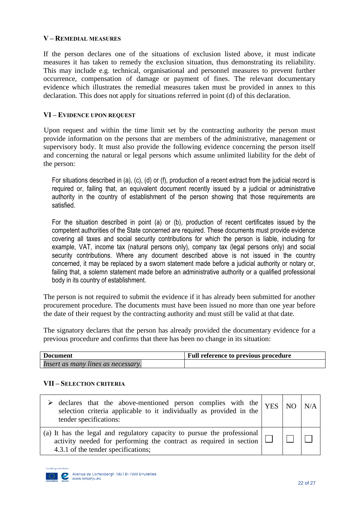#### **V – REMEDIAL MEASURES**

If the person declares one of the situations of exclusion listed above, it must indicate measures it has taken to remedy the exclusion situation, thus demonstrating its reliability. This may include e.g. technical, organisational and personnel measures to prevent further occurrence, compensation of damage or payment of fines. The relevant documentary evidence which illustrates the remedial measures taken must be provided in annex to this declaration. This does not apply for situations referred in point (d) of this declaration.

#### **VI – EVIDENCE UPON REQUEST**

Upon request and within the time limit set by the contracting authority the person must provide information on the persons that are members of the administrative, management or supervisory body. It must also provide the following evidence concerning the person itself and concerning the natural or legal persons which assume unlimited liability for the debt of the person:

For situations described in (a), (c), (d) or (f), production of a recent extract from the judicial record is required or, failing that, an equivalent document recently issued by a judicial or administrative authority in the country of establishment of the person showing that those requirements are satisfied.

For the situation described in point (a) or (b), production of recent certificates issued by the competent authorities of the State concerned are required. These documents must provide evidence covering all taxes and social security contributions for which the person is liable, including for example, VAT, income tax (natural persons only), company tax (legal persons only) and social security contributions. Where any document described above is not issued in the country concerned, it may be replaced by a sworn statement made before a judicial authority or notary or, failing that, a solemn statement made before an administrative authority or a qualified professional body in its country of establishment.

The person is not required to submit the evidence if it has already been submitted for another procurement procedure. The documents must have been issued no more than one year before the date of their request by the contracting authority and must still be valid at that date.

The signatory declares that the person has already provided the documentary evidence for a previous procedure and confirms that there has been no change in its situation:

| Document                           | <b>Full reference to previous procedure</b> |
|------------------------------------|---------------------------------------------|
| Insert as many lines as necessary. |                                             |

#### **VII – SELECTION CRITERIA**

| declares that the above-mentioned person complies with the $YES NO N/A$<br>selection criteria applicable to it individually as provided in the<br>tender specifications:                      |  |  |
|-----------------------------------------------------------------------------------------------------------------------------------------------------------------------------------------------|--|--|
| (a) It has the legal and regulatory capacity to pursue the professional  <br>activity needed for performing the contract as required in section $\Box$<br>4.3.1 of the tender specifications; |  |  |

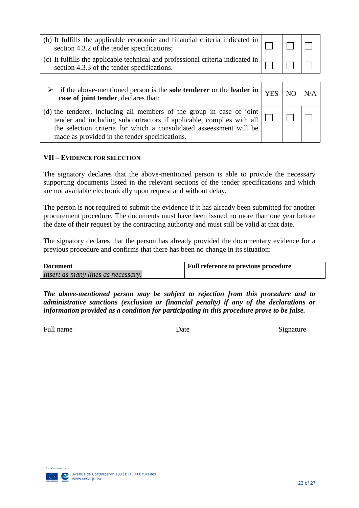| (b) It fulfills the applicable economic and financial criteria indicated in $\vert$<br>section 4.3.2 of the tender specifications; |  |  |
|------------------------------------------------------------------------------------------------------------------------------------|--|--|
| (c) It fulfills the applicable technical and professional criteria indicated in<br>section 4.3.3 of the tender specifications.     |  |  |

| $\triangleright$ if the above-mentioned person is the sole tenderer or the leader in $\vert$ YES $\vert$ NO $\vert$ N/A<br>case of joint tender, declares that:                                                                                                                |  |  |
|--------------------------------------------------------------------------------------------------------------------------------------------------------------------------------------------------------------------------------------------------------------------------------|--|--|
| (d) the tenderer, including all members of the group in case of joint  <br>tender and including subcontractors if applicable, complies with all $\Box$<br>the selection criteria for which a consolidated assessment will be<br>made as provided in the tender specifications. |  |  |

#### **VII – EVIDENCE FOR SELECTION**

The signatory declares that the above-mentioned person is able to provide the necessary supporting documents listed in the relevant sections of the tender specifications and which are not available electronically upon request and without delay.

The person is not required to submit the evidence if it has already been submitted for another procurement procedure. The documents must have been issued no more than one year before the date of their request by the contracting authority and must still be valid at that date.

The signatory declares that the person has already provided the documentary evidence for a previous procedure and confirms that there has been no change in its situation:

| <b>Document</b>                    | Full reference to previous procedure |
|------------------------------------|--------------------------------------|
| Insert as many lines as necessary. |                                      |

*The above-mentioned person may be subject to rejection from this procedure and to administrative sanctions (exclusion or financial penalty) if any of the declarations or information provided as a condition for participating in this procedure prove to be false.*

Full name Signature Date Date Signature

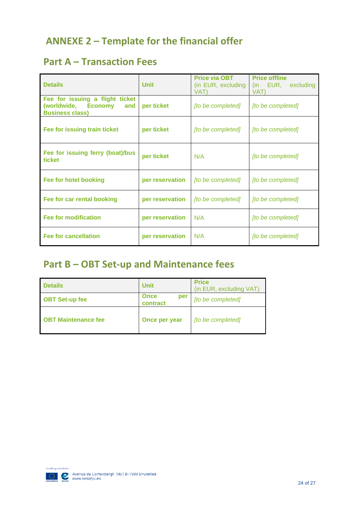# **ANNEXE 2 – Template for the financial offer**

# **Part A – Transaction Fees**

| <b>Details</b>                                                                          | <b>Unit</b>     | Price via OBT<br>(in EUR, excluding<br>VAT) | <b>Price offline</b><br>(in EUR,<br>excluding<br>VAT) |
|-----------------------------------------------------------------------------------------|-----------------|---------------------------------------------|-------------------------------------------------------|
| Fee for issuing a flight ticket<br>(worldwide, Economy<br>and<br><b>Business class)</b> | per ticket      | [to be completed]                           | [to be completed]                                     |
| Fee for issuing train ticket                                                            | per ticket      | [to be completed]                           | [to be completed]                                     |
| Fee for issuing ferry (boat)/bus<br>ticket                                              | per ticket      | N/A                                         | [to be completed]                                     |
| Fee for hotel booking                                                                   | per reservation | [to be completed]                           | <i><u><b>Ito be completedl</b></u></i>                |
| Fee for car rental booking                                                              | per reservation | [to be completed]                           | [to be completed]                                     |
| <b>Fee for modification</b>                                                             | per reservation | N/A                                         | [to be completed]                                     |
| <b>Fee for cancellation</b>                                                             | per reservation | N/A                                         | [to be completed]                                     |

# **Part B – OBT Set-up and Maintenance fees**

| <b>Details</b>             | <b>Unit</b>                    | <b>Price</b><br>(in EUR, excluding VAT) |
|----------------------------|--------------------------------|-----------------------------------------|
| <b>OBT Set-up fee</b>      | <b>Once</b><br>per<br>contract | [to be completed]                       |
| <b>OBT Maintenance fee</b> | Once per year                  | [to be completed]                       |

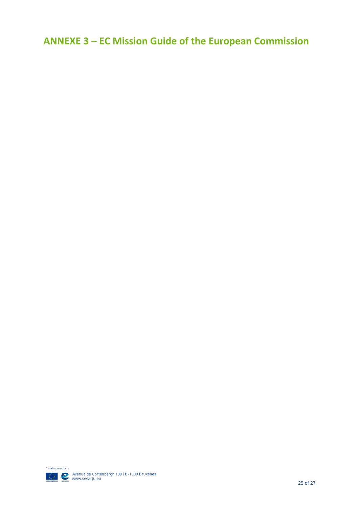**ANNEXE 3 – EC Mission Guide of the European Commission**